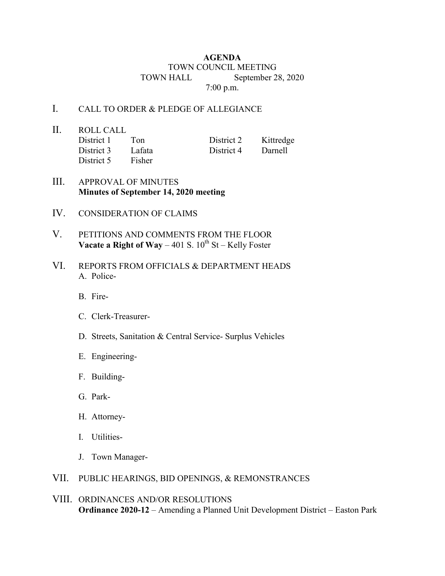## **AGENDA** TOWN COUNCIL MEETING TOWN HALL September 28, 2020 7:00 p.m.

## I. CALL TO ORDER & PLEDGE OF ALLEGIANCE

- II. ROLL CALL District 1 Ton District 2 Kittredge District 3 Lafata District 4 Darnell District 5 Fisher
- III. APPROVAL OF MINUTES **Minutes of September 14, 2020 meeting**
- IV. CONSIDERATION OF CLAIMS
- V. PETITIONS AND COMMENTS FROM THE FLOOR **Vacate a Right of Way** – 401 S.  $10^{th}$  St – Kelly Foster
- VI. REPORTS FROM OFFICIALS & DEPARTMENT HEADS A. Police-
	- B. Fire-
	- C. Clerk-Treasurer-
	- D. Streets, Sanitation & Central Service- Surplus Vehicles
	- E. Engineering-
	- F. Building-
	- G. Park-
	- H. Attorney-
	- I. Utilities-
	- J. Town Manager-
- VII. PUBLIC HEARINGS, BID OPENINGS, & REMONSTRANCES
- VIII. ORDINANCES AND/OR RESOLUTIONS **Ordinance 2020-12** – Amending a Planned Unit Development District – Easton Park